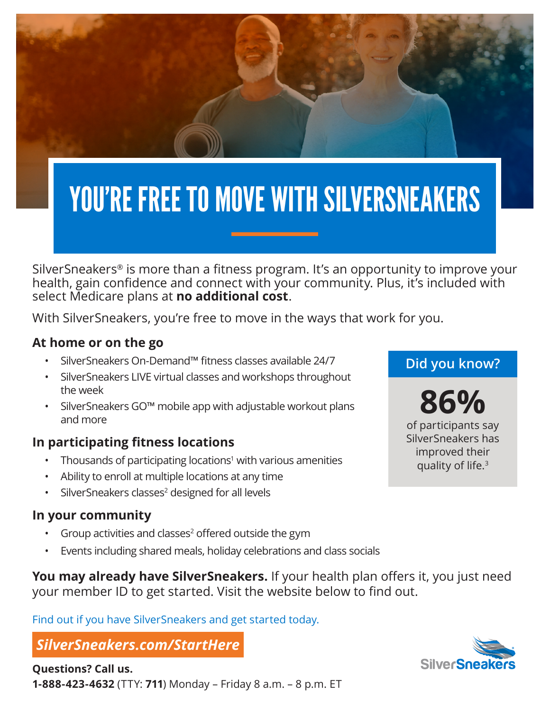

# YOU'RE FREE TO MOVE WITH SILVERSNEAKERS

SilverSneakers® is more than a fitness program. It's an opportunity to improve your health, gain confidence and connect with your community. Plus, it's included with select Medicare plans at **no additional cost**.

With SilverSneakers, you're free to move in the ways that work for you.

### **At home or on the go**

- SilverSneakers On-Demand™ fitness classes available 24/7
- SilverSneakers LIVE virtual classes and workshops throughout the week
- SilverSneakers GO™ mobile app with adjustable workout plans and more

## **In participating fitness locations**

- Thousands of participating locations<sup>1</sup> with various amenities
- Ability to enroll at multiple locations at any time
- SilverSneakers classes<sup>2</sup> designed for all levels

#### **In your community**

- Group activities and classes<sup>2</sup> offered outside the gym
- Events including shared meals, holiday celebrations and class socials

**You may already have SilverSneakers.** If your health plan offers it, you just need your member ID to get started. Visit the website below to find out.

Find out if you have SilverSneakers and get started today.

# *SilverSneakers.com/StartHere*

# **Did you know?**

**86%** of participants say SilverSneakers has improved their quality of life.<sup>3</sup>